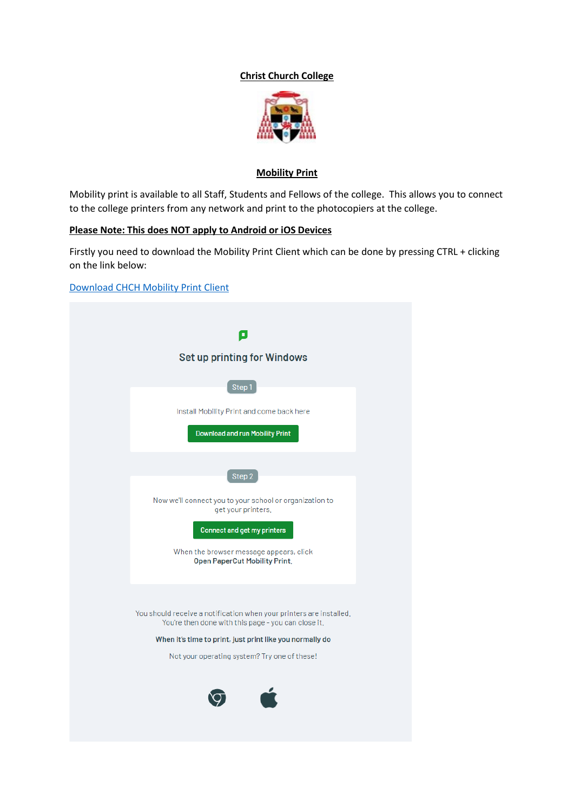## **Christ Church College**



#### **Mobility Print**

Mobility print is available to all Staff, Students and Fellows of the college. This allows you to connect to the college printers from any network and print to the photocopiers at the college.

## **Please Note: This does NOT apply to Android or iOS Devices**

Firstly you need to download the Mobility Print Client which can be done by pressing CTRL + clicking on the link below:

[Download CHCH Mobility Print Client](https://mp.cloud.papercut.com/?token=eyJhbGciOiJSUzI1NiIsIm9yZyI6Im9yZy01Rjg1V05DNSIsInNydiI6InNydi0xUUtWSkZISCIsInR5cCI6IkpXVCJ9.eyJpYXQiOjE2NTA5Nzk4NTgsImlzcyI6InNydi0xUUtWSkZISCIsImp0aSI6Ilg5MzROTFlTIiwibG5rIjoiWDkzNE5MWVMiLCJvcmciOiJvcmctNUY4NVdOQzUiLCJzcnYiOiJzcnYtMVFLVkpGSEgiLCJzdWIiOiJ0b2tlbkNyZWF0aW9uIn0.mPX1CDFajHyk_X7PBhxeAqKSKLV_7rd9ArU_c5CYA5rBGuMYKjPMczO1h42CNkLaTc5FZvFCXbnFVHq_rB_ISn4djonnaWzaznKxMpx8xXECvwPLqPvxDgmVI5O8cC9EPU7NANReoMAZjQnWO8JKyvHDVVtxVR-sOnglta7c0WxLcGmOdPt1jatR_AlAGoXBxLJd76J0Z3y_E6UEfg_eyBrb99TKsJHQ7D6wXg6xtFfmPHLWIxNval_kIVw2oo0Dc9lRuFMhXZg7uLj5K56OOtcMMArG-QqK11KyAQGuU8kYev79AFrrx8E6iSVI70a08RbSAB4PO_hSdUNv6cbeosFqTPTfK9CDXIqI8lzyLXOk459D0Nb4iOnjo6nNxoV1csWg0Ozd2j8o9Pcm3XBoQJ_K2Cs3YJgWpAPC_FRQ4-nh8HBXXySjo7YmDufsgvOuMcRV_AbQFz93IukWIQQbcmm-jMgGStSUyVzPPOKUOl7toac5IQbOCsjXEOYkhJIpbUCxpbHNXSRkgb-7PzJvHa3wjawtC4Cbro5OtinP7zMWIL4Y-wtB53vLo94rtaLjsJpjuNMZg82VeN43Jr3lOBHPEVltwqSiGlx3kfi26XWtPDgpC6tb-hrzTpG3dL390D1uTBz1tIsnphtXsu3Za8-W3wba_842kl4-s1jo19k)

| o                                                                                                                          |
|----------------------------------------------------------------------------------------------------------------------------|
| Set up printing for Windows                                                                                                |
|                                                                                                                            |
| Step1                                                                                                                      |
| Install Mobility Print and come back here                                                                                  |
| <b>Download and run Mobility Print</b>                                                                                     |
| Step 2                                                                                                                     |
|                                                                                                                            |
| Now we'll connect you to your school or organization to<br>get your printers,                                              |
| <b>Connect and get my printers</b>                                                                                         |
| When the browser message appears, click<br><b>Open PaperCut Mobility Print.</b>                                            |
|                                                                                                                            |
| You should receive a notification when your printers are installed.<br>You're then done with this page - you can close it. |
| When it's time to print, just print like you normally do                                                                   |
| Not your operating system? Try one of these!                                                                               |
|                                                                                                                            |
|                                                                                                                            |
|                                                                                                                            |
|                                                                                                                            |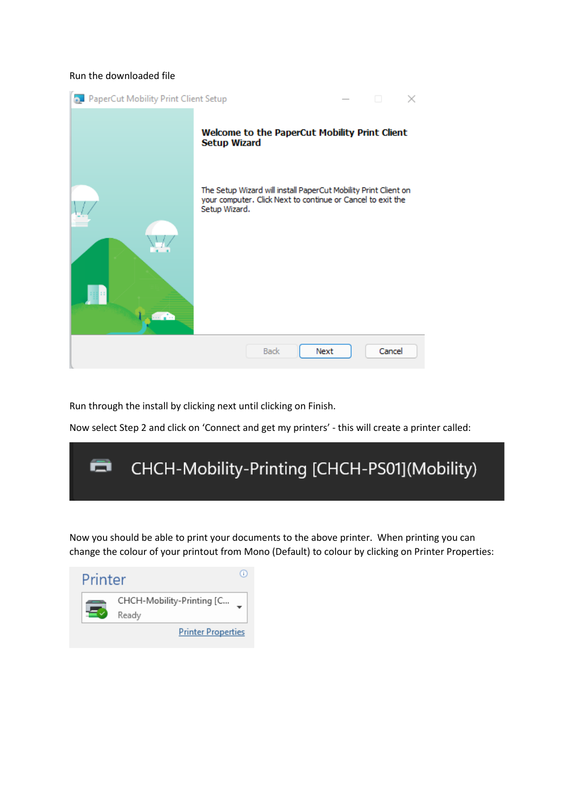#### Run the downloaded file



Run through the install by clicking next until clicking on Finish.

Now select Step 2 and click on 'Connect and get my printers' - this will create a printer called:



Now you should be able to print your documents to the above printer. When printing you can change the colour of your printout from Mono (Default) to colour by clicking on Printer Properties:

| Printer |                                    |  |
|---------|------------------------------------|--|
|         | CHCH-Mobility-Printing [C<br>Ready |  |
|         | <b>Printer Properties</b>          |  |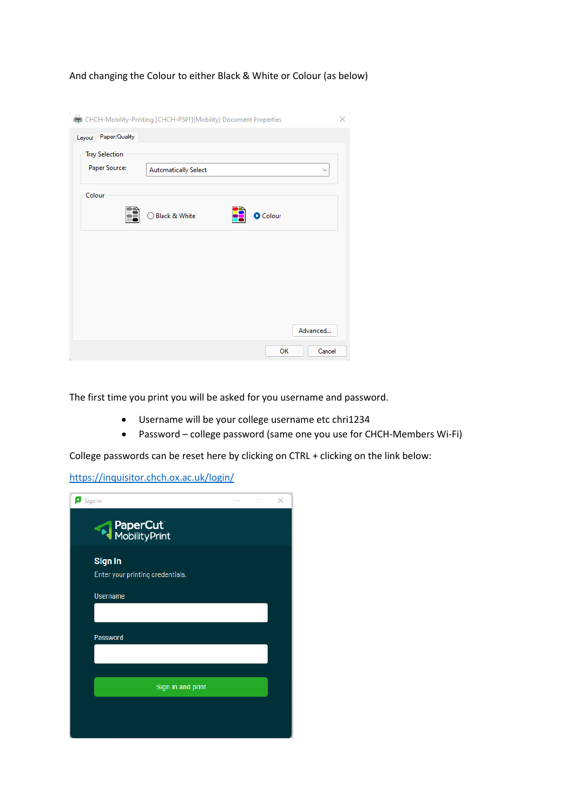And changing the Colour to either Black & White or Colour (as below)

|                                        | CHCH-Mobility-Printing [CHCH-PS01](Mobility) Document Properties | $\gamma$<br>× |
|----------------------------------------|------------------------------------------------------------------|---------------|
| Layout Paper/Quality                   |                                                                  |               |
| <b>Tray Selection</b><br>Paper Source: | <b>Automatically Select</b><br>$\checkmark$                      |               |
| Colour                                 | Black & White<br><b>O</b> Colour                                 |               |
|                                        |                                                                  |               |
|                                        | Advanced                                                         |               |
|                                        | Cancel<br>OK                                                     |               |

The first time you print you will be asked for you username and password.

- Username will be your college username etc chri1234
- Password college password (same one you use for CHCH-Members Wi-Fi)

College passwords can be reset here by clicking on CTRL + clicking on the link below:

<https://inquisitor.chch.ox.ac.uk/login/>

| $\blacksquare$ Sign In                      | о | × |
|---------------------------------------------|---|---|
| PaperCut <sup>W</sup><br>MobilityPrint      |   |   |
| Sign In<br>Enter your printing credentials. |   |   |
| <b>Username</b>                             |   |   |
| Password                                    |   |   |
|                                             |   |   |
| Sign in and print                           |   |   |
|                                             |   |   |
|                                             |   |   |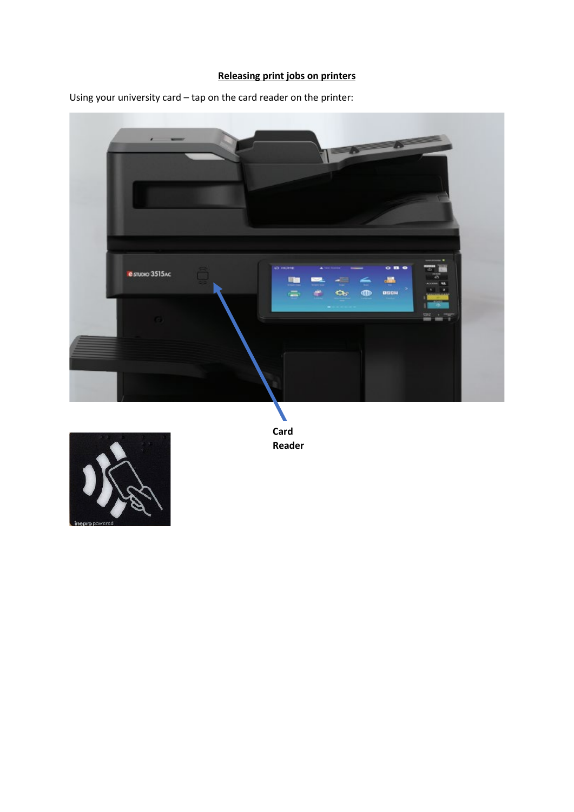# **Releasing print jobs on printers**

Using your university card – tap on the card reader on the printer:





**Card Reader**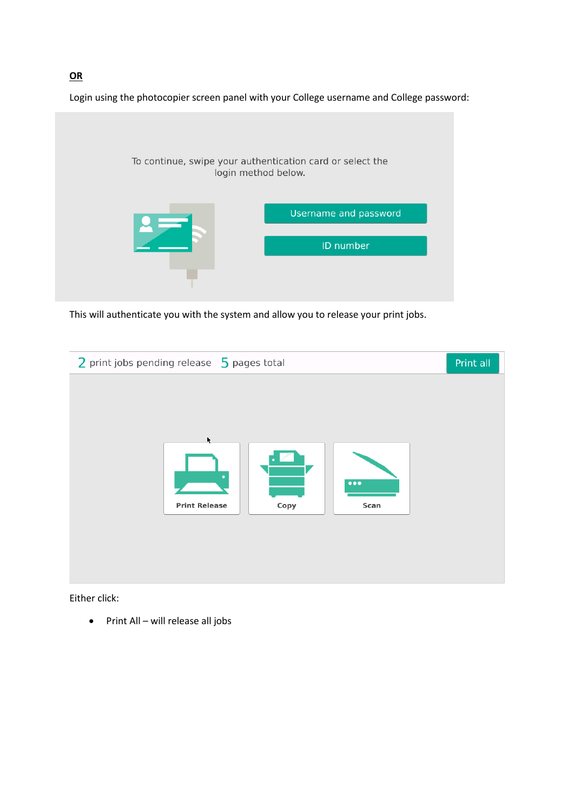Login using the photocopier screen panel with your College username and College password:



This will authenticate you with the system and allow you to release your print jobs.



Either click:

• Print All – will release all jobs

**OR**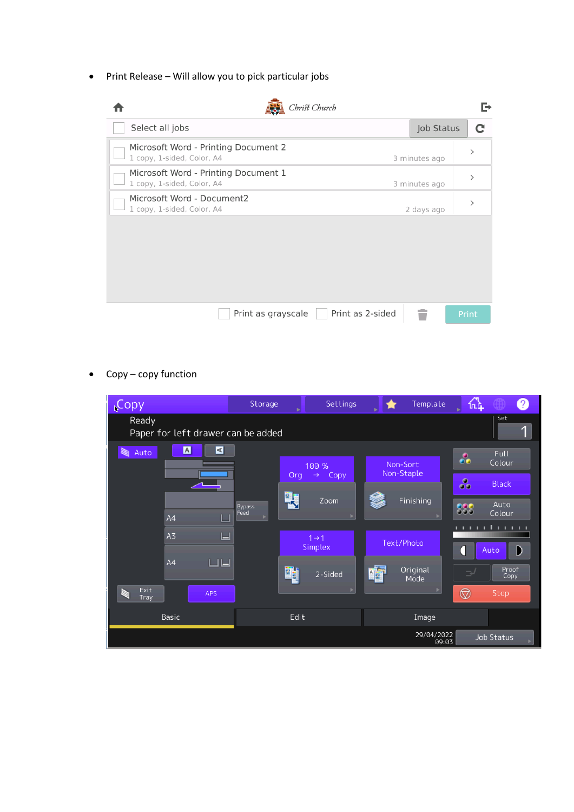• Print Release – Will allow you to pick particular jobs

| Christ Church                                                      |               |               |
|--------------------------------------------------------------------|---------------|---------------|
| Select all jobs                                                    | Job Status    | $\mathbf C$   |
| Microsoft Word - Printing Document 2<br>1 copy, 1-sided, Color, A4 | 3 minutes ago | $\mathcal{P}$ |
| Microsoft Word - Printing Document 1<br>1 copy, 1-sided, Color, A4 | 3 minutes ago | $\mathcal{P}$ |
| Microsoft Word - Document2<br>1 copy, 1-sided, Color, A4           | 2 days ago    |               |
|                                                                    |               |               |
|                                                                    |               |               |
|                                                                    |               |               |
|                                                                    |               |               |
| Print as 2-sided<br>Print as grayscale                             |               | Print         |

• Copy – copy function